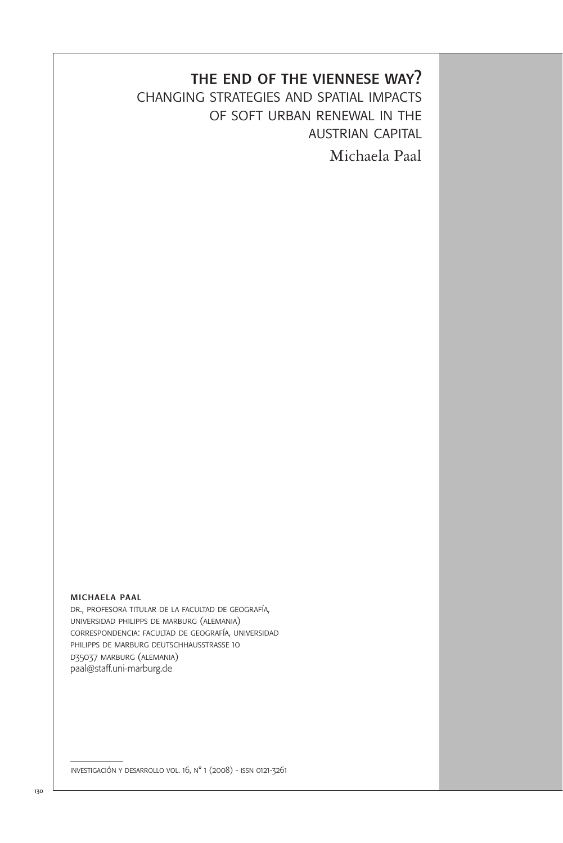# the end of the viennese way?

changing strategies and spatial impacts of soft urban renewal in the austrian capital Michaela Paal

michaela paal

dr., profesora titular de la facultad de geografía, universidad philipps de marburg (alemania) correspondencia: facultad de geografía, universidad philipps de marburg deutschhausstrasse 10 d35037 marburg (alemania) paal@staff.uni-marburg.de

investigación y desarrollo vol. 16, n° 1 (2008) - issn 0121-3261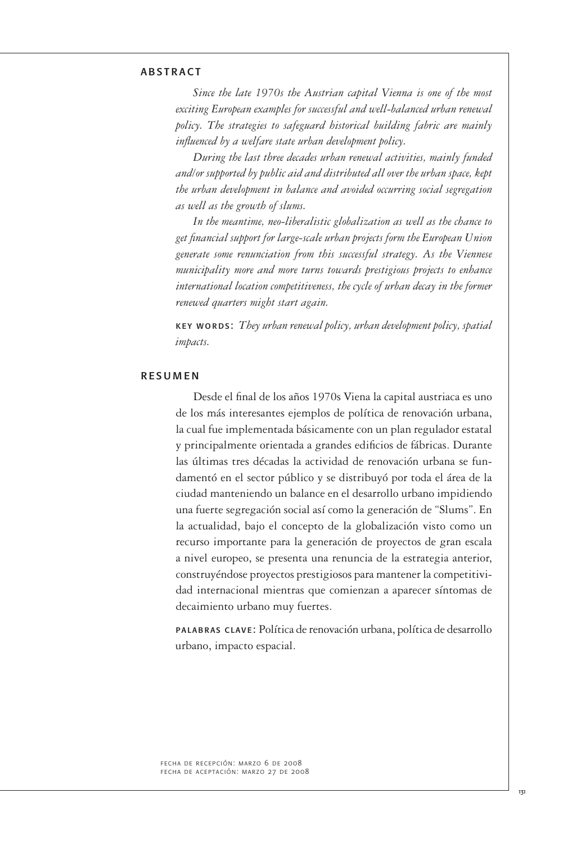### **ARSTRACT**

*Since the late 1970s the Austrian capital Vienna is one of the most exciting European examples for successful and well-balanced urban renewal policy. The strategies to safeguard historical building fabric are mainly influenced by a welfare state urban development policy.*

*During the last three decades urban renewal activities, mainly funded and/or supported by public aid and distributed all over the urban space, kept the urban development in balance and avoided occurring social segregation as well as the growth of slums.* 

*In the meantime, neo-liberalistic globalization as well as the chance to get financial support for large-scale urban projects form the European Union generate some renunciation from this successful strategy. As the Viennese municipality more and more turns towards prestigious projects to enhance international location competitiveness, the cycle of urban decay in the former renewed quarters might start again.*

key words: *They urban renewal policy, urban development policy, spatial impacts.*

#### **RESUMEN**

Desde el final de los años 1970s Viena la capital austriaca es uno de los más interesantes ejemplos de política de renovación urbana, la cual fue implementada básicamente con un plan regulador estatal y principalmente orientada a grandes edificios de fábricas. Durante las últimas tres décadas la actividad de renovación urbana se fundamentó en el sector público y se distribuyó por toda el área de la ciudad manteniendo un balance en el desarrollo urbano impidiendo una fuerte segregación social así como la generación de "Slums". En la actualidad, bajo el concepto de la globalización visto como un recurso importante para la generación de proyectos de gran escala a nivel europeo, se presenta una renuncia de la estrategia anterior, construyéndose proyectos prestigiosos para mantener la competitividad internacional mientras que comienzan a aparecer síntomas de decaimiento urbano muy fuertes.

palabras clave: Política de renovación urbana, política de desarrollo urbano, impacto espacial.

fecha de recepción: marzo 6 de 2008 fecha de aceptación: marzo 27 de 2008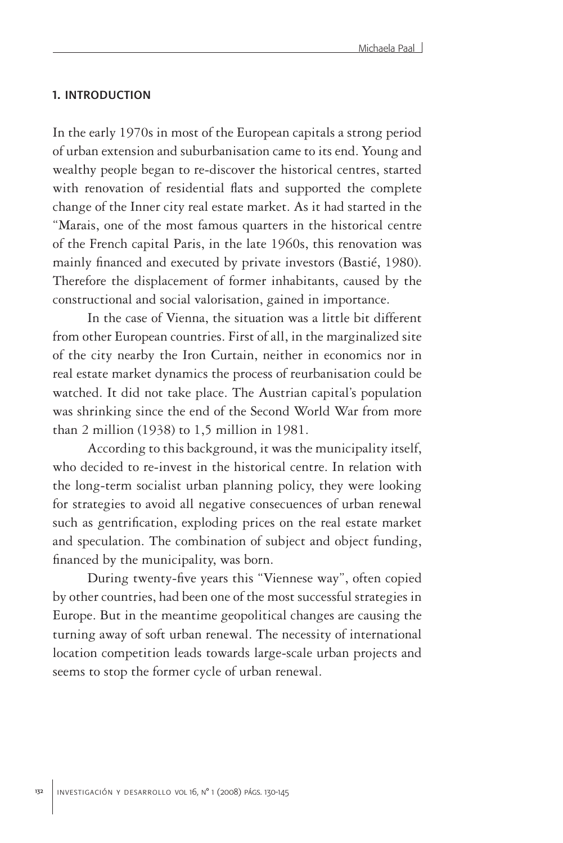#### 1. introduction

In the early 1970s in most of the European capitals a strong period of urban extension and suburbanisation came to its end. Young and wealthy people began to re-discover the historical centres, started with renovation of residential flats and supported the complete change of the Inner city real estate market. As it had started in the "Marais, one of the most famous quarters in the historical centre of the French capital Paris, in the late 1960s, this renovation was mainly financed and executed by private investors (Bastié, 1980). Therefore the displacement of former inhabitants, caused by the constructional and social valorisation, gained in importance.

In the case of Vienna, the situation was a little bit different from other European countries. First of all, in the marginalized site of the city nearby the Iron Curtain, neither in economics nor in real estate market dynamics the process of reurbanisation could be watched. It did not take place. The Austrian capital's population was shrinking since the end of the Second World War from more than 2 million (1938) to 1,5 million in 1981.

According to this background, it was the municipality itself, who decided to re-invest in the historical centre. In relation with the long-term socialist urban planning policy, they were looking for strategies to avoid all negative consecuences of urban renewal such as gentrification, exploding prices on the real estate market and speculation. The combination of subject and object funding, financed by the municipality, was born.

During twenty-five years this "Viennese way", often copied by other countries, had been one of the most successful strategies in Europe. But in the meantime geopolitical changes are causing the turning away of soft urban renewal. The necessity of international location competition leads towards large-scale urban projects and seems to stop the former cycle of urban renewal.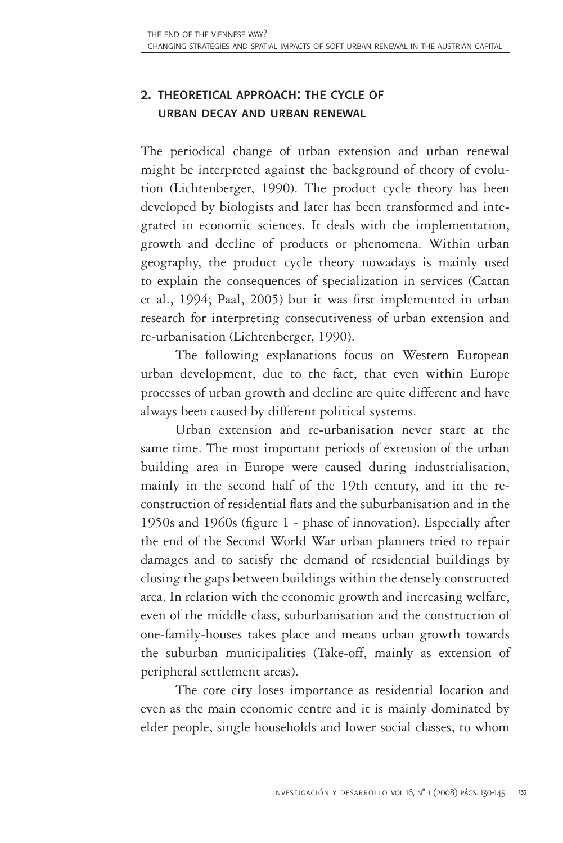# 2. theoretical approach: the cycle of urban decay and urban renewal

The periodical change of urban extension and urban renewal might be interpreted against the background of theory of evolution (Lichtenberger, 1990). The product cycle theory has been developed by biologists and later has been transformed and integrated in economic sciences. It deals with the implementation, growth and decline of products or phenomena. Within urban geography, the product cycle theory nowadays is mainly used to explain the consequences of specialization in services (Cattan et al., 1994; Paal, 2005) but it was first implemented in urban research for interpreting consecutiveness of urban extension and re-urbanisation (Lichtenberger, 1990).

The following explanations focus on Western European urban development, due to the fact, that even within Europe processes of urban growth and decline are quite different and have always been caused by different political systems.

Urban extension and re-urbanisation never start at the same time. The most important periods of extension of the urban building area in Europe were caused during industrialisation, mainly in the second half of the 19th century, and in the reconstruction of residential flats and the suburbanisation and in the 1950s and 1960s (figure 1 - phase of innovation). Especially after the end of the Second World War urban planners tried to repair damages and to satisfy the demand of residential buildings by closing the gaps between buildings within the densely constructed area. In relation with the economic growth and increasing welfare, even of the middle class, suburbanisation and the construction of one-family-houses takes place and means urban growth towards the suburban municipalities (Take-off, mainly as extension of peripheral settlement areas).

The core city loses importance as residential location and even as the main economic centre and it is mainly dominated by elder people, single households and lower social classes, to whom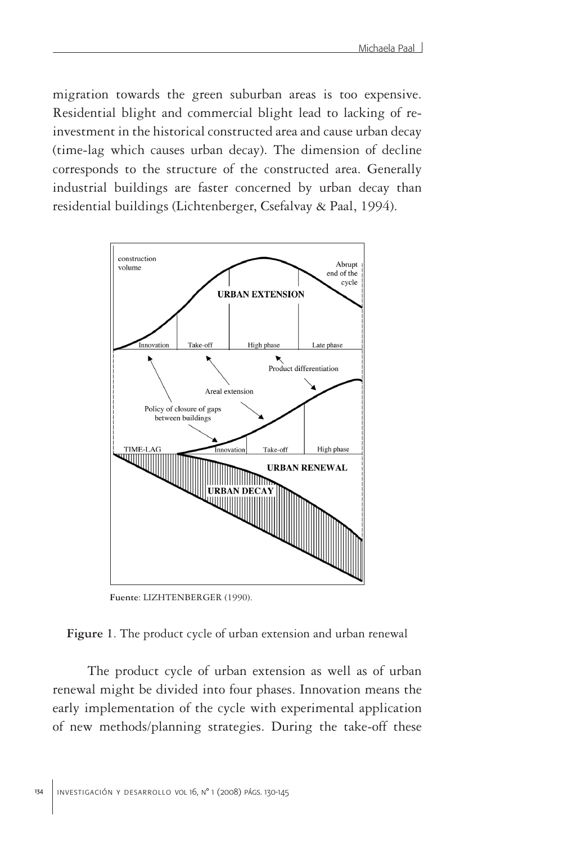migration towards the green suburban areas is too expensive. Residential blight and commercial blight lead to lacking of reinvestment in the historical constructed area and cause urban decay (time-lag which causes urban decay). The dimension of decline corresponds to the structure of the constructed area. Generally industrial buildings are faster concerned by urban decay than residential buildings (Lichtenberger, Csefalvay & Paal, 1994).



**Fuente**: LIZHTENBERGER (1990).

The product cycle of urban extension as well as of urban renewal might be divided into four phases. Innovation means the early implementation of the cycle with experimental application of new methods/planning strategies. During the take-off these

**Figure 1**. The product cycle of urban extension and urban renewal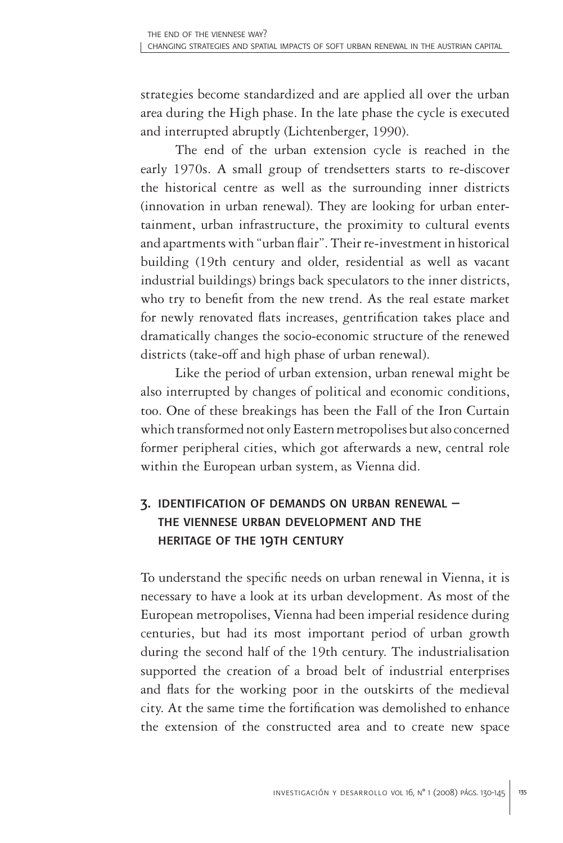strategies become standardized and are applied all over the urban area during the High phase. In the late phase the cycle is executed and interrupted abruptly (Lichtenberger, 1990).

The end of the urban extension cycle is reached in the early 1970s. A small group of trendsetters starts to re-discover the historical centre as well as the surrounding inner districts (innovation in urban renewal). They are looking for urban entertainment, urban infrastructure, the proximity to cultural events and apartments with "urban flair". Their re-investment in historical building (19th century and older, residential as well as vacant industrial buildings) brings back speculators to the inner districts, who try to benefit from the new trend. As the real estate market for newly renovated flats increases, gentrification takes place and dramatically changes the socio-economic structure of the renewed districts (take-off and high phase of urban renewal).

Like the period of urban extension, urban renewal might be also interrupted by changes of political and economic conditions, too. One of these breakings has been the Fall of the Iron Curtain which transformed not only Eastern metropolises but also concerned former peripheral cities, which got afterwards a new, central role within the European urban system, as Vienna did.

# 3. identification of demands on urban renewal – the viennese urban development and the heritage of the 19th century

To understand the specific needs on urban renewal in Vienna, it is necessary to have a look at its urban development. As most of the European metropolises, Vienna had been imperial residence during centuries, but had its most important period of urban growth during the second half of the 19th century. The industrialisation supported the creation of a broad belt of industrial enterprises and flats for the working poor in the outskirts of the medieval city. At the same time the fortification was demolished to enhance the extension of the constructed area and to create new space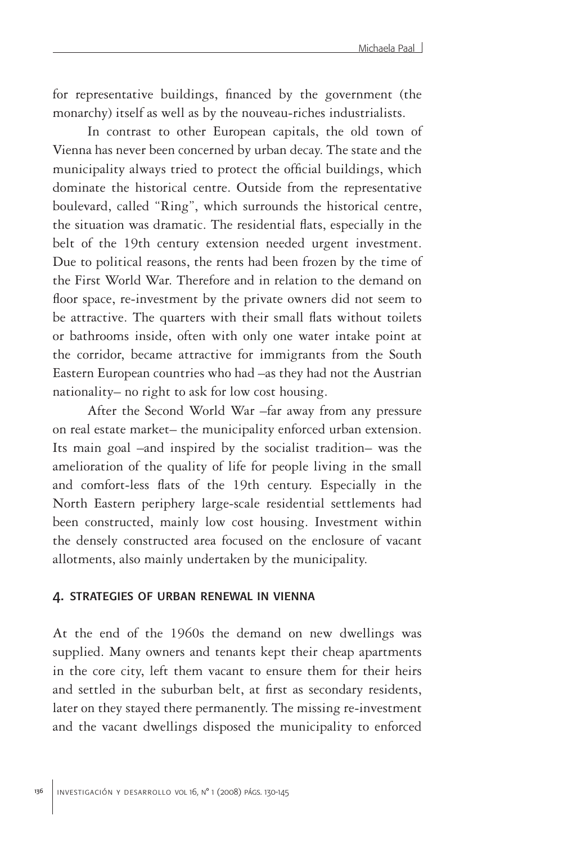for representative buildings, financed by the government (the monarchy) itself as well as by the nouveau-riches industrialists.

In contrast to other European capitals, the old town of Vienna has never been concerned by urban decay. The state and the municipality always tried to protect the official buildings, which dominate the historical centre. Outside from the representative boulevard, called "Ring", which surrounds the historical centre, the situation was dramatic. The residential flats, especially in the belt of the 19th century extension needed urgent investment. Due to political reasons, the rents had been frozen by the time of the First World War. Therefore and in relation to the demand on floor space, re-investment by the private owners did not seem to be attractive. The quarters with their small flats without toilets or bathrooms inside, often with only one water intake point at the corridor, became attractive for immigrants from the South Eastern European countries who had –as they had not the Austrian nationality– no right to ask for low cost housing.

After the Second World War –far away from any pressure on real estate market– the municipality enforced urban extension. Its main goal –and inspired by the socialist tradition– was the amelioration of the quality of life for people living in the small and comfort-less flats of the 19th century. Especially in the North Eastern periphery large-scale residential settlements had been constructed, mainly low cost housing. Investment within the densely constructed area focused on the enclosure of vacant allotments, also mainly undertaken by the municipality.

#### 4. strategies of urban renewal in vienna

At the end of the 1960s the demand on new dwellings was supplied. Many owners and tenants kept their cheap apartments in the core city, left them vacant to ensure them for their heirs and settled in the suburban belt, at first as secondary residents, later on they stayed there permanently. The missing re-investment and the vacant dwellings disposed the municipality to enforced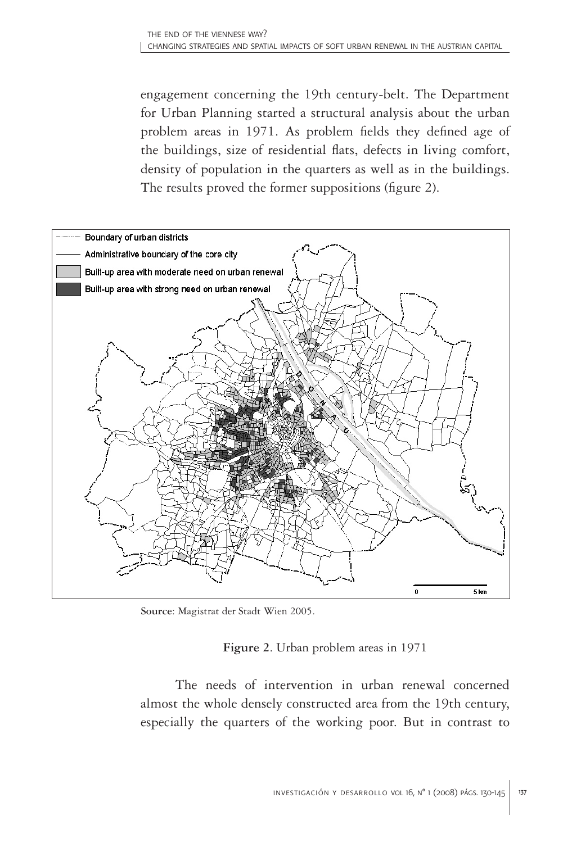engagement concerning the 19th century-belt. The Department for Urban Planning started a structural analysis about the urban problem areas in 1971. As problem fields they defined age of the buildings, size of residential flats, defects in living comfort, density of population in the quarters as well as in the buildings. The results proved the former suppositions (figure 2).



**Source**: Magistrat der Stadt Wien 2005.

## **Figure 2**. Urban problem areas in 1971

The needs of intervention in urban renewal concerned almost the whole densely constructed area from the 19th century, especially the quarters of the working poor. But in contrast to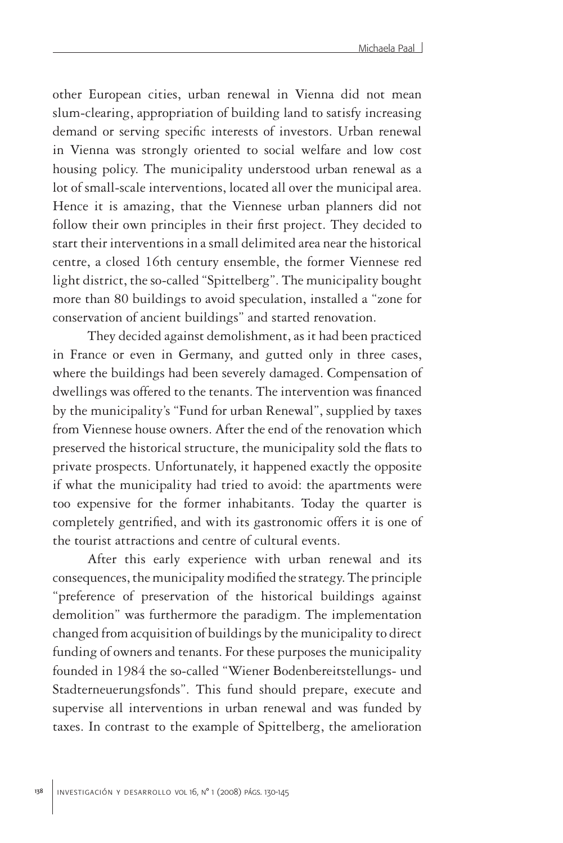other European cities, urban renewal in Vienna did not mean slum-clearing, appropriation of building land to satisfy increasing demand or serving specific interests of investors. Urban renewal in Vienna was strongly oriented to social welfare and low cost housing policy. The municipality understood urban renewal as a lot of small-scale interventions, located all over the municipal area. Hence it is amazing, that the Viennese urban planners did not follow their own principles in their first project. They decided to start their interventions in a small delimited area near the historical centre, a closed 16th century ensemble, the former Viennese red light district, the so-called "Spittelberg". The municipality bought more than 80 buildings to avoid speculation, installed a "zone for conservation of ancient buildings" and started renovation.

They decided against demolishment, as it had been practiced in France or even in Germany, and gutted only in three cases, where the buildings had been severely damaged. Compensation of dwellings was offered to the tenants. The intervention was financed by the municipality's "Fund for urban Renewal", supplied by taxes from Viennese house owners. After the end of the renovation which preserved the historical structure, the municipality sold the flats to private prospects. Unfortunately, it happened exactly the opposite if what the municipality had tried to avoid: the apartments were too expensive for the former inhabitants. Today the quarter is completely gentrified, and with its gastronomic offers it is one of the tourist attractions and centre of cultural events.

After this early experience with urban renewal and its consequences, the municipality modified the strategy. The principle "preference of preservation of the historical buildings against demolition" was furthermore the paradigm. The implementation changed from acquisition of buildings by the municipality to direct funding of owners and tenants. For these purposes the municipality founded in 1984 the so-called "Wiener Bodenbereitstellungs- und Stadterneuerungsfonds". This fund should prepare, execute and supervise all interventions in urban renewal and was funded by taxes. In contrast to the example of Spittelberg, the amelioration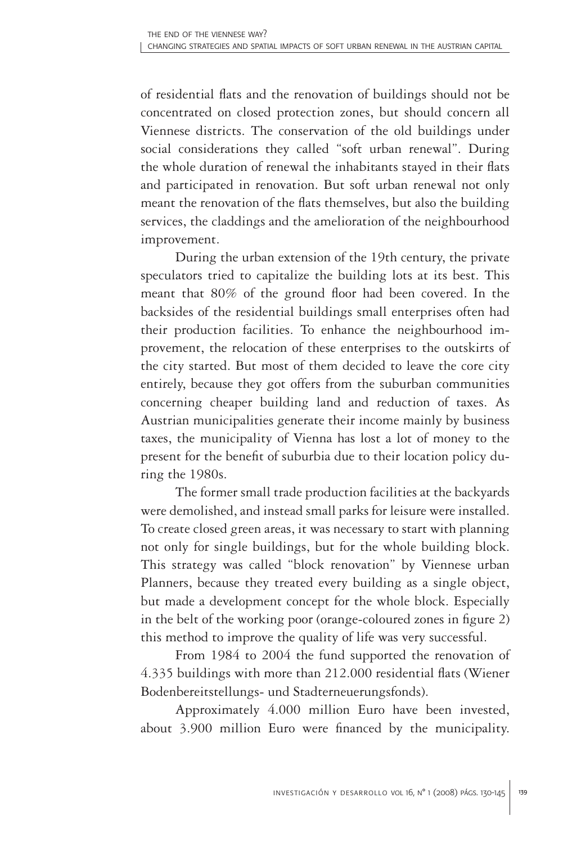of residential flats and the renovation of buildings should not be concentrated on closed protection zones, but should concern all Viennese districts. The conservation of the old buildings under social considerations they called "soft urban renewal". During the whole duration of renewal the inhabitants stayed in their flats and participated in renovation. But soft urban renewal not only meant the renovation of the flats themselves, but also the building services, the claddings and the amelioration of the neighbourhood improvement.

During the urban extension of the 19th century, the private speculators tried to capitalize the building lots at its best. This meant that 80% of the ground floor had been covered. In the backsides of the residential buildings small enterprises often had their production facilities. To enhance the neighbourhood improvement, the relocation of these enterprises to the outskirts of the city started. But most of them decided to leave the core city entirely, because they got offers from the suburban communities concerning cheaper building land and reduction of taxes. As Austrian municipalities generate their income mainly by business taxes, the municipality of Vienna has lost a lot of money to the present for the benefit of suburbia due to their location policy during the 1980s.

The former small trade production facilities at the backyards were demolished, and instead small parks for leisure were installed. To create closed green areas, it was necessary to start with planning not only for single buildings, but for the whole building block. This strategy was called "block renovation" by Viennese urban Planners, because they treated every building as a single object, but made a development concept for the whole block. Especially in the belt of the working poor (orange-coloured zones in figure 2) this method to improve the quality of life was very successful.

From 1984 to 2004 the fund supported the renovation of 4.335 buildings with more than 212.000 residential flats (Wiener Bodenbereitstellungs- und Stadterneuerungsfonds).

Approximately 4.000 million Euro have been invested, about 3.900 million Euro were financed by the municipality.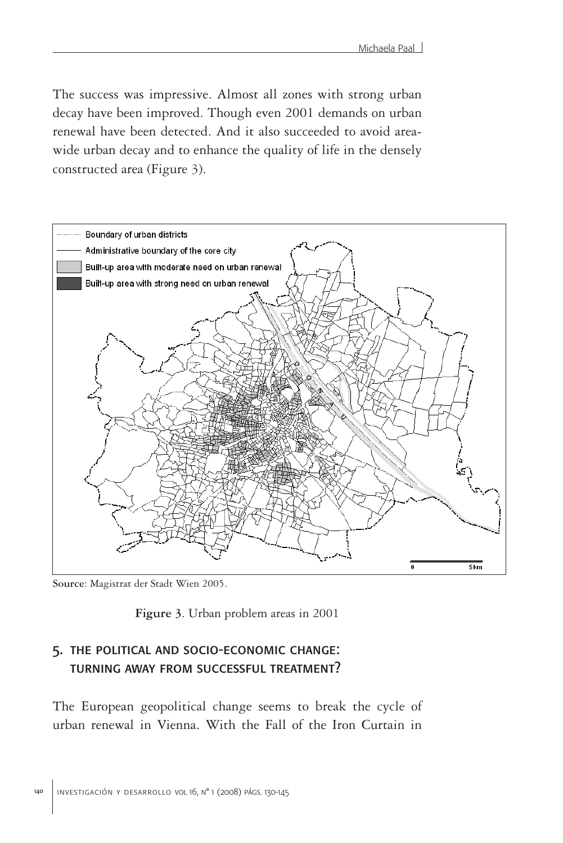The success was impressive. Almost all zones with strong urban decay have been improved. Though even 2001 demands on urban renewal have been detected. And it also succeeded to avoid areawide urban decay and to enhance the quality of life in the densely constructed area (Figure 3).



**Source**: Magistrat der Stadt Wien 2005.

**Figure 3**. Urban problem areas in 2001

## 5. the political and socio-economic change: turning away from successful treatment?

The European geopolitical change seems to break the cycle of urban renewal in Vienna. With the Fall of the Iron Curtain in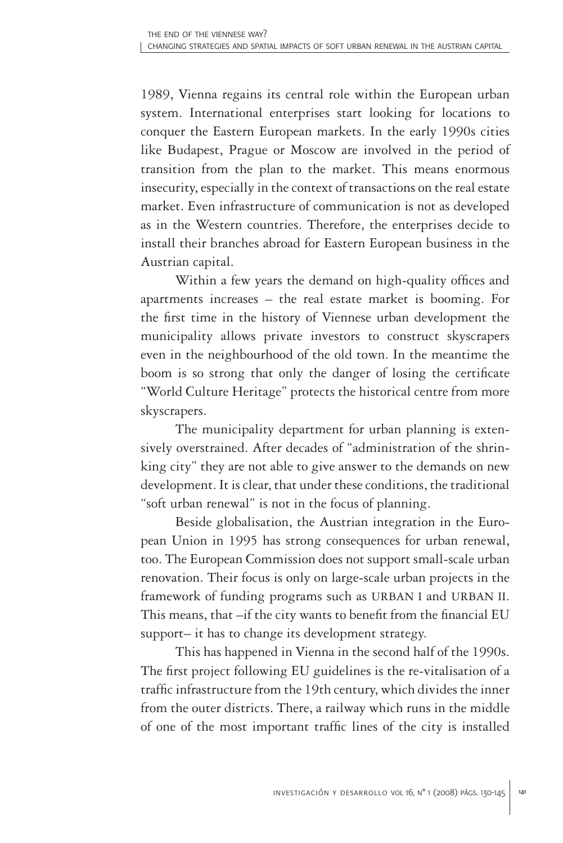1989, Vienna regains its central role within the European urban system. International enterprises start looking for locations to conquer the Eastern European markets. In the early 1990s cities like Budapest, Prague or Moscow are involved in the period of transition from the plan to the market. This means enormous insecurity, especially in the context of transactions on the real estate market. Even infrastructure of communication is not as developed as in the Western countries. Therefore, the enterprises decide to install their branches abroad for Eastern European business in the Austrian capital.

Within a few years the demand on high-quality offices and apartments increases – the real estate market is booming. For the first time in the history of Viennese urban development the municipality allows private investors to construct skyscrapers even in the neighbourhood of the old town. In the meantime the boom is so strong that only the danger of losing the certificate "World Culture Heritage" protects the historical centre from more skyscrapers.

The municipality department for urban planning is extensively overstrained. After decades of "administration of the shrinking city" they are not able to give answer to the demands on new development. It is clear, that under these conditions, the traditional "soft urban renewal" is not in the focus of planning.

Beside globalisation, the Austrian integration in the European Union in 1995 has strong consequences for urban renewal, too. The European Commission does not support small-scale urban renovation. Their focus is only on large-scale urban projects in the framework of funding programs such as URBAN I and URBAN II. This means, that –if the city wants to benefit from the financial EU support– it has to change its development strategy.

This has happened in Vienna in the second half of the 1990s. The first project following EU guidelines is the re-vitalisation of a traffic infrastructure from the 19th century, which divides the inner from the outer districts. There, a railway which runs in the middle of one of the most important traffic lines of the city is installed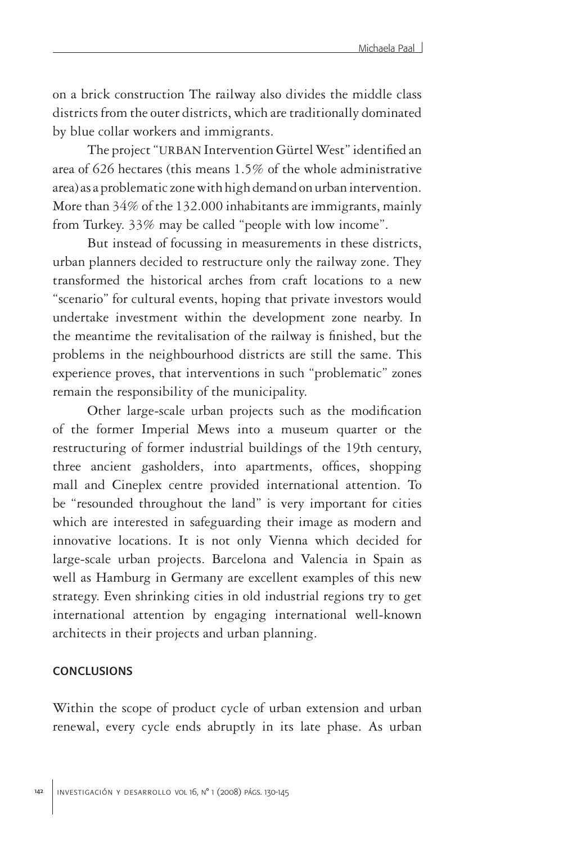on a brick construction The railway also divides the middle class districts from the outer districts, which are traditionally dominated by blue collar workers and immigrants.

The project "URBAN Intervention Gürtel West" identified an area of 626 hectares (this means 1.5% of the whole administrative area) as a problematic zone with high demand on urban intervention. More than 34% of the 132.000 inhabitants are immigrants, mainly from Turkey. 33% may be called "people with low income".

But instead of focussing in measurements in these districts, urban planners decided to restructure only the railway zone. They transformed the historical arches from craft locations to a new "scenario" for cultural events, hoping that private investors would undertake investment within the development zone nearby. In the meantime the revitalisation of the railway is finished, but the problems in the neighbourhood districts are still the same. This experience proves, that interventions in such "problematic" zones remain the responsibility of the municipality.

Other large-scale urban projects such as the modification of the former Imperial Mews into a museum quarter or the restructuring of former industrial buildings of the 19th century, three ancient gasholders, into apartments, offices, shopping mall and Cineplex centre provided international attention. To be "resounded throughout the land" is very important for cities which are interested in safeguarding their image as modern and innovative locations. It is not only Vienna which decided for large-scale urban projects. Barcelona and Valencia in Spain as well as Hamburg in Germany are excellent examples of this new strategy. Even shrinking cities in old industrial regions try to get international attention by engaging international well-known architects in their projects and urban planning.

#### **CONCLUSIONS**

Within the scope of product cycle of urban extension and urban renewal, every cycle ends abruptly in its late phase. As urban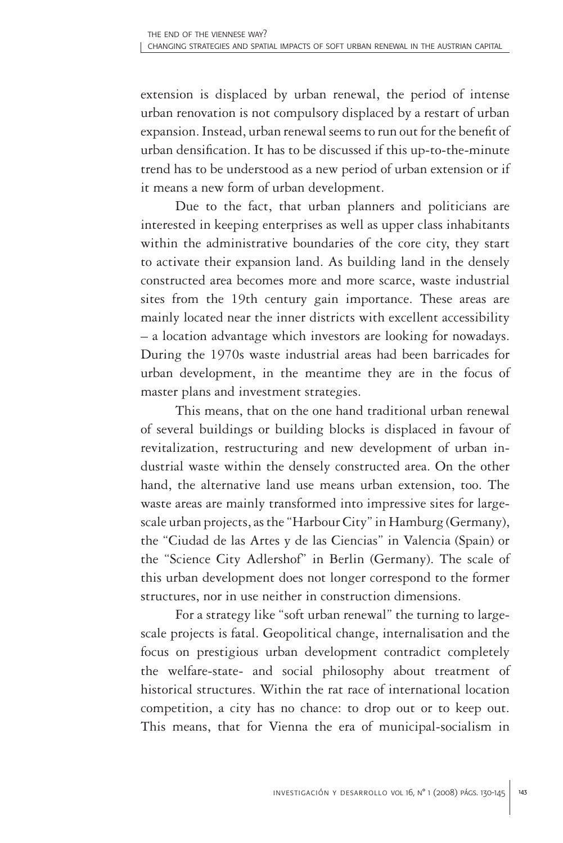extension is displaced by urban renewal, the period of intense urban renovation is not compulsory displaced by a restart of urban expansion. Instead, urban renewal seems to run out for the benefit of urban densification. It has to be discussed if this up-to-the-minute trend has to be understood as a new period of urban extension or if it means a new form of urban development.

Due to the fact, that urban planners and politicians are interested in keeping enterprises as well as upper class inhabitants within the administrative boundaries of the core city, they start to activate their expansion land. As building land in the densely constructed area becomes more and more scarce, waste industrial sites from the 19th century gain importance. These areas are mainly located near the inner districts with excellent accessibility – a location advantage which investors are looking for nowadays. During the 1970s waste industrial areas had been barricades for urban development, in the meantime they are in the focus of master plans and investment strategies.

This means, that on the one hand traditional urban renewal of several buildings or building blocks is displaced in favour of revitalization, restructuring and new development of urban industrial waste within the densely constructed area. On the other hand, the alternative land use means urban extension, too. The waste areas are mainly transformed into impressive sites for largescale urban projects, as the "Harbour City" in Hamburg (Germany), the "Ciudad de las Artes y de las Ciencias" in Valencia (Spain) or the "Science City Adlershof" in Berlin (Germany). The scale of this urban development does not longer correspond to the former structures, nor in use neither in construction dimensions.

For a strategy like "soft urban renewal" the turning to largescale projects is fatal. Geopolitical change, internalisation and the focus on prestigious urban development contradict completely the welfare-state- and social philosophy about treatment of historical structures. Within the rat race of international location competition, a city has no chance: to drop out or to keep out. This means, that for Vienna the era of municipal-socialism in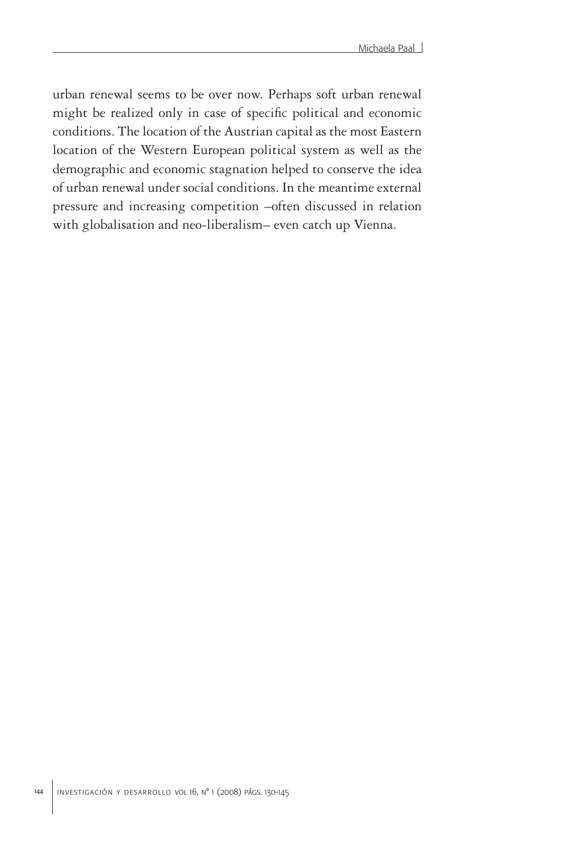urban renewal seems to be over now. Perhaps soft urban renewal might be realized only in case of specific political and economic conditions. The location of the Austrian capital as the most Eastern location of the Western European political system as well as the demographic and economic stagnation helped to conserve the idea of urban renewal under social conditions. In the meantime external pressure and increasing competition –often discussed in relation with globalisation and neo-liberalism– even catch up Vienna.